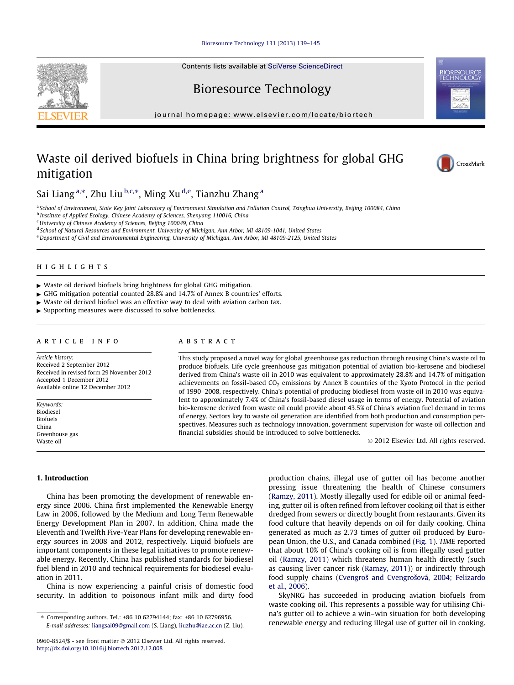[Bioresource Technology 131 \(2013\) 139–145](http://dx.doi.org/10.1016/j.biortech.2012.12.008)

Contents lists available at [SciVerse ScienceDirect](http://www.sciencedirect.com/science/journal/09608524)

# Bioresource Technology

journal homepage: [www.elsevier.com/locate/biortech](http://www.elsevier.com/locate/biortech)

# Waste oil derived biofuels in China bring brightness for global GHG mitigation

Sai Liang <sup>a,</sup>\*, Zhu Liu <sup>b,c,</sup>\*, Ming Xu <sup>d,e</sup>, Tianzhu Zhang <sup>a</sup>

a School of Environment, State Key Joint Laboratory of Environment Simulation and Pollution Control, Tsinghua University, Beijing 100084, China

<sup>b</sup> Institute of Applied Ecology, Chinese Academy of Sciences, Shenyang 110016, China

<sup>c</sup>University of Chinese Academy of Sciences, Beijing 100049, China

<sup>d</sup> School of Natural Resources and Environment, University of Michigan, Ann Arbor, MI 48109-1041, United States

e Department of Civil and Environmental Engineering, University of Michigan, Ann Arbor, MI 48109-2125, United States

# highlights

 $\triangleright$  Waste oil derived biofuels bring brightness for global GHG mitigation.

 $\triangleright$  GHG mitigation potential counted 28.8% and 14.7% of Annex B countries' efforts.

 $\triangleright$  Waste oil derived biofuel was an effective way to deal with aviation carbon tax.

 $\blacktriangleright$  Supporting measures were discussed to solve bottlenecks.

## article info

Article history: Received 2 September 2012 Received in revised form 29 November 2012 Accepted 1 December 2012 Available online 12 December 2012

Keywords: Biodiesel Biofuels China Greenhouse gas Waste oil

## **ABSTRACT**

This study proposed a novel way for global greenhouse gas reduction through reusing China's waste oil to produce biofuels. Life cycle greenhouse gas mitigation potential of aviation bio-kerosene and biodiesel derived from China's waste oil in 2010 was equivalent to approximately 28.8% and 14.7% of mitigation achievements on fossil-based CO<sub>2</sub> emissions by Annex B countries of the Kyoto Protocol in the period of 1990–2008, respectively. China's potential of producing biodiesel from waste oil in 2010 was equivalent to approximately 7.4% of China's fossil-based diesel usage in terms of energy. Potential of aviation bio-kerosene derived from waste oil could provide about 43.5% of China's aviation fuel demand in terms of energy. Sectors key to waste oil generation are identified from both production and consumption perspectives. Measures such as technology innovation, government supervision for waste oil collection and financial subsidies should be introduced to solve bottlenecks.

- 2012 Elsevier Ltd. All rights reserved.

## 1. Introduction

China has been promoting the development of renewable energy since 2006. China first implemented the Renewable Energy Law in 2006, followed by the Medium and Long Term Renewable Energy Development Plan in 2007. In addition, China made the Eleventh and Twelfth Five-Year Plans for developing renewable energy sources in 2008 and 2012, respectively. Liquid biofuels are important components in these legal initiatives to promote renewable energy. Recently, China has published standards for biodiesel fuel blend in 2010 and technical requirements for biodiesel evaluation in 2011.

China is now experiencing a painful crisis of domestic food security. In addition to poisonous infant milk and dirty food production chains, illegal use of gutter oil has become another pressing issue threatening the health of Chinese consumers ([Ramzy, 2011\)](#page-6-0). Mostly illegally used for edible oil or animal feeding, gutter oil is often refined from leftover cooking oil that is either dredged from sewers or directly bought from restaurants. Given its food culture that heavily depends on oil for daily cooking, China generated as much as 2.73 times of gutter oil produced by European Union, the U.S., and Canada combined ([Fig. 1\)](#page-1-0). TIME reported that about 10% of China's cooking oil is from illegally used gutter oil ([Ramzy, 2011\)](#page-6-0) which threatens human health directly (such as causing liver cancer risk ([Ramzy, 2011](#page-6-0))) or indirectly through food supply chains ([Cvengroš and Cvengrošová, 2004; Felizardo](#page-6-0) [et al., 2006\)](#page-6-0).

SkyNRG has succeeded in producing aviation biofuels from waste cooking oil. This represents a possible way for utilising China's gutter oil to achieve a win–win situation for both developing renewable energy and reducing illegal use of gutter oil in cooking.







<sup>⇑</sup> Corresponding authors. Tel.: +86 10 62794144; fax: +86 10 62796956. E-mail addresses: [liangsai09@gmail.com](mailto:liangsai09@gmail.com) (S. Liang), [liuzhu@iae.ac.cn](mailto:liuzhu@iae.ac.cn) (Z. Liu).

<sup>0960-8524/\$ -</sup> see front matter © 2012 Elsevier Ltd. All rights reserved. <http://dx.doi.org/10.1016/j.biortech.2012.12.008>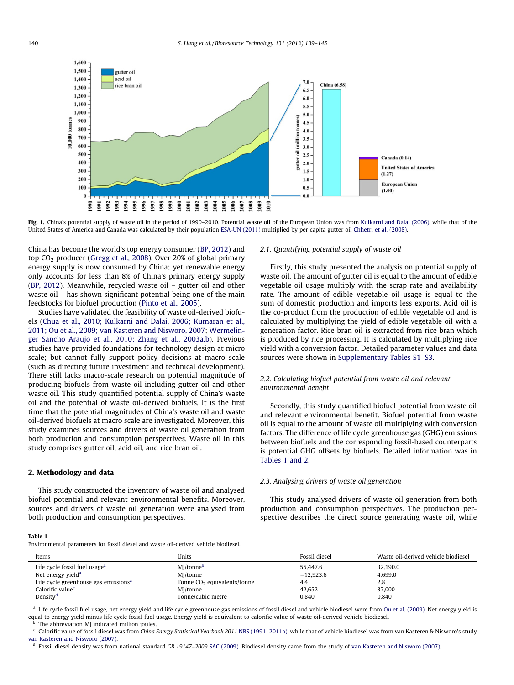<span id="page-1-0"></span>

Fig. 1. China's potential supply of waste oil in the period of 1990–2010. Potential waste oil of the European Union was from [Kulkarni and Dalai \(2006\)](#page-6-0), while that of the United States of America and Canada was calculated by their population [ESA-UN \(2011\)](#page-6-0) multiplied by per capita gutter oil [Chhetri et al. \(2008\).](#page-6-0)

China has become the world's top energy consumer [\(BP, 2012\)](#page-6-0) and top  $CO<sub>2</sub>$  producer ([Gregg et al., 2008](#page-6-0)). Over 20% of global primary energy supply is now consumed by China; yet renewable energy only accounts for less than 8% of China's primary energy supply ([BP, 2012\)](#page-6-0). Meanwhile, recycled waste oil – gutter oil and other waste oil – has shown significant potential being one of the main feedstocks for biofuel production [\(Pinto et al., 2005\)](#page-6-0).

Studies have validated the feasibility of waste oil-derived biofuels ([Chua et al., 2010; Kulkarni and Dalai, 2006; Kumaran et al.,](#page-6-0) [2011; Ou et al., 2009; van Kasteren and Nisworo, 2007;](#page-6-0) [Wermelin](#page-6-0)[ger Sancho Araujo et al., 2010; Zhang et al., 2003a,b\)](#page-6-0). Previous studies have provided foundations for technology design at micro scale; but cannot fully support policy decisions at macro scale (such as directing future investment and technical development). There still lacks macro-scale research on potential magnitude of producing biofuels from waste oil including gutter oil and other waste oil. This study quantified potential supply of China's waste oil and the potential of waste oil-derived biofuels. It is the first time that the potential magnitudes of China's waste oil and waste oil-derived biofuels at macro scale are investigated. Moreover, this study examines sources and drivers of waste oil generation from both production and consumption perspectives. Waste oil in this study comprises gutter oil, acid oil, and rice bran oil.

## 2. Methodology and data

This study constructed the inventory of waste oil and analysed biofuel potential and relevant environmental benefits. Moreover, sources and drivers of waste oil generation were analysed from both production and consumption perspectives.

# 2.1. Quantifying potential supply of waste oil

Firstly, this study presented the analysis on potential supply of waste oil. The amount of gutter oil is equal to the amount of edible vegetable oil usage multiply with the scrap rate and availability rate. The amount of edible vegetable oil usage is equal to the sum of domestic production and imports less exports. Acid oil is the co-product from the production of edible vegetable oil and is calculated by multiplying the yield of edible vegetable oil with a generation factor. Rice bran oil is extracted from rice bran which is produced by rice processing. It is calculated by multiplying rice yield with a conversion factor. Detailed parameter values and data sources were shown in Supplementary Tables S1–S3.

## 2.2. Calculating biofuel potential from waste oil and relevant environmental benefit

Secondly, this study quantified biofuel potential from waste oil and relevant environmental benefit. Biofuel potential from waste oil is equal to the amount of waste oil multiplying with conversion factors. The difference of life cycle greenhouse gas (GHG) emissions between biofuels and the corresponding fossil-based counterparts is potential GHG offsets by biofuels. Detailed information was in Tables 1 and 2.

## 2.3. Analysing drivers of waste oil generation

This study analysed drivers of waste oil generation from both production and consumption perspectives. The production perspective describes the direct source generating waste oil, while

#### Table 1

Environmental parameters for fossil diesel and waste oil-derived vehicle biodiesel.

| Items                                            | Units                         | Fossil diesel | Waste oil-derived vehicle biodiesel |
|--------------------------------------------------|-------------------------------|---------------|-------------------------------------|
| Life cycle fossil fuel usage <sup>a</sup>        | MJ/tonne <sup>b</sup>         | 55.447.6      | 32,190.0                            |
| Net energy yield <sup>a</sup>                    | MJ/tonne                      | $-12.923.6$   | 4,699.0                             |
| Life cycle greenhouse gas emissions <sup>a</sup> | Tonne $CO2$ equivalents/tonne | 4.4           | 2.8                                 |
| Calorific value <sup>c</sup>                     | MJ/tonne                      | 42.652        | 37,000                              |
| Density <sup>d</sup>                             | Tonne/cubic metre             | 0.840         | 0.840                               |

<sup>a</sup> Life cycle fossil fuel usage, net energy yield and life cycle greenhouse gas emissions of fossil diesel and vehicle biodiesel were from [Ou et al. \(2009\)](#page-6-0). Net energy yield is equal to energy yield minus life cycle fossil fuel usage. Energy yield is equivalent to calorific value of waste oil-derived vehicle biodiesel.

The abbreviation MI indicated million joules.

<sup>c</sup> Calorific value of fossil diesel was from China Energy Statistical Yearbook 2011 [NBS \(1991–2011a\)](#page-6-0), while that of vehicle biodiesel was from van Kasteren & Nisworo's study [van Kasteren and Nisworo \(2007\)](#page-6-0).

<sup>d</sup> Fossil diesel density was from national standard GB 19147–2009 [SAC \(2009\)](#page-6-0). Biodiesel density came from the study of [van Kasteren and Nisworo \(2007\)](#page-6-0).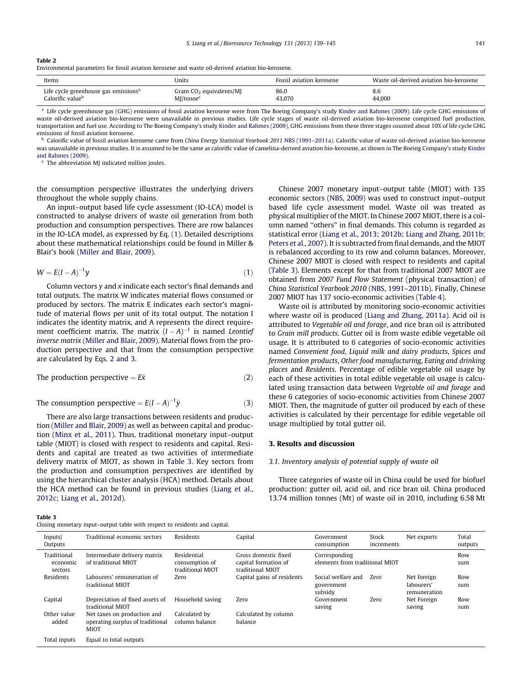| Table 2                                                                                            |
|----------------------------------------------------------------------------------------------------|
| Environmental parameters for fossil aviation kerosene and waste oil-derived aviation bio-kerosene. |

| Items                                            | <b>Units</b>              | Fossil aviation kerosene | Waste oil-derived aviation bio-kerosene |
|--------------------------------------------------|---------------------------|--------------------------|-----------------------------------------|
| Life cycle greenhouse gas emissions <sup>a</sup> | Gram $CO2$ equivalents/MJ | 86.0                     | 8.6                                     |
| `alorific value <sup>b</sup>                     | $M$ ]/tonne <sup>c</sup>  | 43.070                   | 44,000                                  |

Life cycle greenhouse gas (GHG) emissions of fossil aviation kerosene were from The Boeing Company's study [Kinder and Rahmes \(2009\)](#page-6-0). Life cycle GHG emissions of waste oil-derived aviation bio-kerosene were unavailable in previous studies. Life cycle stages of waste oil-derived aviation bio-kerosene comprised fuel production, transportation and fuel use. According to The Boeing Company's study [Kinder and Rahmes \(2009\),](#page-6-0) GHG emissions from these three stages counted about 10% of life cycle GHG emissions of fossil aviation kerosene.

<sup>b</sup> Calorific value of fossil aviation kerosene came from China Energy Statistical Yearbook 2011 [NBS \(1991–2011a\)](#page-6-0). Calorific value of waste oil-derived aviation bio-kerosene was unavailable in previous studies. It is assumed to be the same as calorific value of camelina-derived aviation bio-kerosene, as shown in The Boeing Company's study [Kinder](#page-6-0) [and Rahmes \(2009\).](#page-6-0)

The abbreviation MJ indicated million joules.

the consumption perspective illustrates the underlying drivers throughout the whole supply chains.

An input–output based life cycle assessment (IO-LCA) model is constructed to analyse drivers of waste oil generation from both production and consumption perspectives. There are row balances in the IO-LCA model, as expressed by Eq. (1). Detailed descriptions about these mathematical relationships could be found in Miller & Blair's book [\(Miller and Blair, 2009](#page-6-0)).

$$
W = E(I - A)^{-1}y\tag{1}
$$

Column vectors  $y$  and  $x$  indicate each sector's final demands and total outputs. The matrix W indicates material flows consumed or produced by sectors. The matrix E indicates each sector's magnitude of material flows per unit of its total output. The notation I indicates the identity matrix, and A represents the direct requirement coefficient matrix. The matrix  $(I-A)^{-1}$  is named Leontief inverse matrix [\(Miller and Blair, 2009](#page-6-0)). Material flows from the production perspective and that from the consumption perspective are calculated by Eqs. 2 and 3.

The production perspective = 
$$
E\hat{x}
$$
 (2)

The consumption perspective = 
$$
E(I - A)^{-1}\hat{y}
$$
 (3)

There are also large transactions between residents and production ([Miller and Blair, 2009](#page-6-0)) as well as between capital and production ([Minx et al., 2011](#page-6-0)). Thus, traditional monetary input–output table (MIOT) is closed with respect to residents and capital. Residents and capital are treated as two activities of intermediate delivery matrix of MIOT, as shown in Table 3. Key sectors from the production and consumption perspectives are identified by using the hierarchical cluster analysis (HCA) method. Details about the HCA method can be found in previous studies [\(Liang et al.,](#page-6-0) [2012c; Liang et al., 2012d\)](#page-6-0).

Chinese 2007 monetary input–output table (MIOT) with 135 economic sectors [\(NBS, 2009\)](#page-6-0) was used to construct input–output based life cycle assessment model. Waste oil was treated as physical multiplier of the MIOT. In Chinese 2007 MIOT, there is a column named ''others'' in final demands. This column is regarded as statistical error [\(Liang et al., 2013; 2012b; Liang and Zhang, 2011b;](#page-6-0) [Peters et al., 2007](#page-6-0)). It is subtracted from final demands, and the MIOT is rebalanced according to its row and column balances. Moreover, Chinese 2007 MIOT is closed with respect to residents and capital (Table 3). Elements except for that from traditional 2007 MIOT are obtained from 2007 Fund Flow Statement (physical transaction) of China Statistical Yearbook 2010 [\(NBS, 1991–2011b\)](#page-6-0). Finally, Chinese 2007 MIOT has 137 socio-economic activities [\(Table 4](#page-3-0)).

Waste oil is attributed by monitoring socio-economic activities where waste oil is produced ([Liang and Zhang, 2011a\)](#page-6-0). Acid oil is attributed to Vegetable oil and forage, and rice bran oil is attributed to Grain mill products. Gutter oil is from waste edible vegetable oil usage. It is attributed to 6 categories of socio-economic activities named Convenient food, Liquid milk and dairy products, Spices and fermentation products, Other food manufacturing, Eating and drinking places and Residents. Percentage of edible vegetable oil usage by each of these activities in total edible vegetable oil usage is calculated using transaction data between Vegetable oil and forage and these 6 categories of socio-economic activities from Chinese 2007 MIOT. Then, the magnitude of gutter oil produced by each of these activities is calculated by their percentage for edible vegetable oil usage multiplied by total gutter oil.

## 3. Results and discussion

## 3.1. Inventory analysis of potential supply of waste oil

Three categories of waste oil in China could be used for biofuel production: gutter oil, acid oil, and rice bran oil. China produced 13.74 million tonnes (Mt) of waste oil in 2010, including 6.58 Mt

| . . | $\sim$ |
|-----|--------|
|-----|--------|

| Closing monetary input-output table with respect to residents and capital. |  |  |  |  |
|----------------------------------------------------------------------------|--|--|--|--|
|                                                                            |  |  |  |  |

| Inputs/<br>Outputs                 | Traditional economic sectors                                                   | Residents                                         | Capital                                                          | Government<br>consumption                       | Stock<br>increments | Net exports                               | Total<br>outputs |
|------------------------------------|--------------------------------------------------------------------------------|---------------------------------------------------|------------------------------------------------------------------|-------------------------------------------------|---------------------|-------------------------------------------|------------------|
| Traditional<br>economic<br>sectors | Intermediate delivery matrix<br>of traditional MIOT                            | Residential<br>consumption of<br>traditional MIOT | Gross domestic fixed<br>capital formation of<br>traditional MIOT | Corresponding<br>elements from traditional MIOT |                     |                                           | Row<br>sum       |
| Residents                          | Labourers' remuneration of<br>traditional MIOT                                 | Zero                                              | Capital gains of residents                                       | Social welfare and<br>government<br>subsidy     | Zero                | Net foreign<br>labourers'<br>remuneration | Row<br>sum       |
| Capital                            | Depreciation of fixed assets of<br>traditional MIOT                            | Household saving                                  | Zero                                                             | Government<br>saving                            | Zero                | Net Foreign<br>saving                     | Row<br>sum       |
| Other value<br>added               | Net taxes on production and<br>operating surplus of traditional<br><b>MIOT</b> | Calculated by<br>column balance                   | Calculated by column<br>balance                                  |                                                 |                     |                                           |                  |
| Total inputs                       | Equal to total outputs                                                         |                                                   |                                                                  |                                                 |                     |                                           |                  |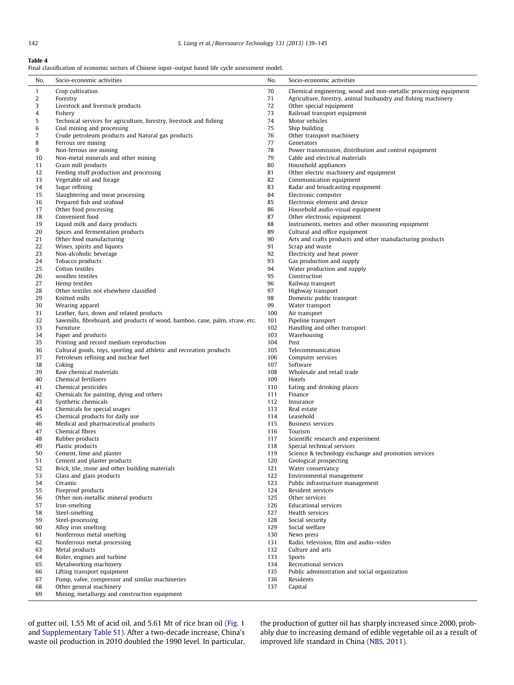#### <span id="page-3-0"></span>Table 4

Final classification of economic sectors of Chinese input–output based life cycle assessment model.

| No.          | Socio-economic activities                                                                                  | No.        | Socio-economic activities                                                                  |
|--------------|------------------------------------------------------------------------------------------------------------|------------|--------------------------------------------------------------------------------------------|
| $\mathbf{1}$ | Crop cultivation                                                                                           | 70         | Chemical engineering, wood and non-metallic processing equipment                           |
| 2            | Forestry                                                                                                   | 71         | Agriculture, forestry, animal husbandry and fishing machinery                              |
| 3            | Livestock and livestock products                                                                           | 72         | Other special equipment                                                                    |
| 4<br>5       | Fishery<br>Technical services for agriculture, forestry, livestock and fishing                             | 73<br>74   | Railroad transport equipment<br>Motor vehicles                                             |
| 6            | Coal mining and processing                                                                                 | 75         | Ship building                                                                              |
| 7            | Crude petroleum products and Natural gas products                                                          | 76         | Other transport machinery                                                                  |
| 8            | Ferrous ore mining                                                                                         | 77         | Generators                                                                                 |
| 9            | Non-ferrous ore mining                                                                                     | 78         | Power transmission, distribution and control equipment                                     |
| 10           | Non-metal minerals and other mining                                                                        | 79         | Cable and electrical materials                                                             |
| 11           | Grain mill products                                                                                        | 80         | Household appliances                                                                       |
| 12<br>13     | Feeding stuff production and processing<br>Vegetable oil and forage                                        | 81<br>82   | Other electric machinery and equipment<br>Communication equipment                          |
| 14           | Sugar refining                                                                                             | 83         | Radar and broadcasting equipment                                                           |
| 15           | Slaughtering and meat processing                                                                           | 84         | Electronic computer                                                                        |
| 16           | Prepared fish and seafood                                                                                  | 85         | Electronic element and device                                                              |
| 17           | Other food processing                                                                                      | 86         | Household audio-visual equipment                                                           |
| 18           | Convenient food                                                                                            | 87         | Other electronic equipment                                                                 |
| 19           | Liquid milk and dairy products                                                                             | 88         | Instruments, metres and other measuring equipment                                          |
| 20<br>21     | Spices and fermentation products<br>Other food manufacturing                                               | 89<br>90   | Cultural and office equipment<br>Arts and crafts products and other manufacturing products |
| 22           | Wines, spirits and liquors                                                                                 | 91         | Scrap and waste                                                                            |
| 23           | Non-alcoholic beverage                                                                                     | 92         | Electricity and heat power                                                                 |
| 24           | Tobacco products                                                                                           | 93         | Gas production and supply                                                                  |
| 25           | Cotton textiles                                                                                            | 94         | Water production and supply                                                                |
| 26           | woollen textiles                                                                                           | 95         | Construction                                                                               |
| 27           | Hemp textiles                                                                                              | 96         | Railway transport                                                                          |
| 28<br>29     | Other textiles not elsewhere classified<br>Knitted mills                                                   | 97<br>98   | Highway transport<br>Domestic public transport                                             |
| 30           | Wearing apparel                                                                                            | 99         | Water transport                                                                            |
| 31           | Leather, furs, down and related products                                                                   | 100        | Air transport                                                                              |
| 32           | Sawmills, fibreboard, and products of wood, bamboo, cane, palm, straw, etc.                                | 101        | Pipeline transport                                                                         |
| 33           | Furniture                                                                                                  | 102        | Handling and other transport                                                               |
| 34           | Paper and products                                                                                         | 103        | Warehousing                                                                                |
| 35           | Printing and record medium reproduction                                                                    | 104        | Post                                                                                       |
| 36<br>37     | Cultural goods, toys, sporting and athletic and recreation products<br>Petroleum refining and nuclear fuel | 105<br>106 | Telecommunication                                                                          |
| 38           | Coking                                                                                                     | 107        | Computer services<br>Software                                                              |
| 39           | Raw chemical materials                                                                                     | 108        | Wholesale and retail trade                                                                 |
| 40           | Chemical fertilisers                                                                                       | 109        | Hotels                                                                                     |
| 41           | Chemical pesticides                                                                                        | 110        | Eating and drinking places                                                                 |
| 42           | Chemicals for painting, dying and others                                                                   | 111        | Finance                                                                                    |
| 43           | Synthetic chemicals                                                                                        | 112        | Insurance                                                                                  |
| 44<br>45     | Chemicals for special usages<br>Chemical products for daily use                                            | 113<br>114 | Real estate<br>Leasehold                                                                   |
| 46           | Medical and pharmaceutical products                                                                        | 115        | <b>Business services</b>                                                                   |
| 47           | Chemical fibres                                                                                            | 116        | Tourism                                                                                    |
| 48           | Rubber products                                                                                            | 117        | Scientific research and experiment                                                         |
| 49           | Plastic products                                                                                           | 118        | Special technical services                                                                 |
| 50           | Cement, lime and plaster                                                                                   | 119        | Science & technology exchange and promotion services                                       |
| 51           | Cement and plaster products                                                                                | 120        | Geological prospecting                                                                     |
| 52<br>53     | Brick, tile, stone and other building materials<br>Glass and glass products                                | 121<br>122 | Water conservancy<br>Environmental management                                              |
| 54           | Ceramic                                                                                                    | 123        | Public infrastructure management                                                           |
| 55           | Fireproof products                                                                                         | 124        | Resident services                                                                          |
| 56           | Other non-metallic mineral products                                                                        | 125        | Other services                                                                             |
| 57           | Iron-smelting                                                                                              | 126        | <b>Educational services</b>                                                                |
| 58           | Steel-smelting                                                                                             | 127        | Health services                                                                            |
| 59           | Steel-processing                                                                                           | 128        | Social security                                                                            |
| 60           | Alloy iron smelting                                                                                        | 129        | Social welfare                                                                             |
| 61<br>62     | Nonferrous metal smelting<br>Nonferrous metal processing                                                   | 130<br>131 | News press<br>Radio, television, film and audio-video                                      |
| 63           | Metal products                                                                                             | 132        | Culture and arts                                                                           |
| 64           | Boiler, engines and turbine                                                                                | 133        | Sports                                                                                     |
| 65           | Metalworking machinery                                                                                     | 134        | Recreational services                                                                      |
| 66           | Lifting transport equipment                                                                                | 135        | Public administration and social organization                                              |
| 67           | Pump, valve, compressor and similar machineries                                                            | 136        | Residents                                                                                  |
| 68<br>69     | Other general machinery<br>Mining, metallurgy and construction equipment                                   | 137        | Capital                                                                                    |
|              |                                                                                                            |            |                                                                                            |

of gutter oil, 1.55 Mt of acid oil, and 5.61 Mt of rice bran oil ([Fig. 1](#page-1-0) and Supplementary Table S1). After a two-decade increase, China's waste oil production in 2010 doubled the 1990 level. In particular, the production of gutter oil has sharply increased since 2000, probably due to increasing demand of edible vegetable oil as a result of improved life standard in China [\(NBS, 2011](#page-6-0)).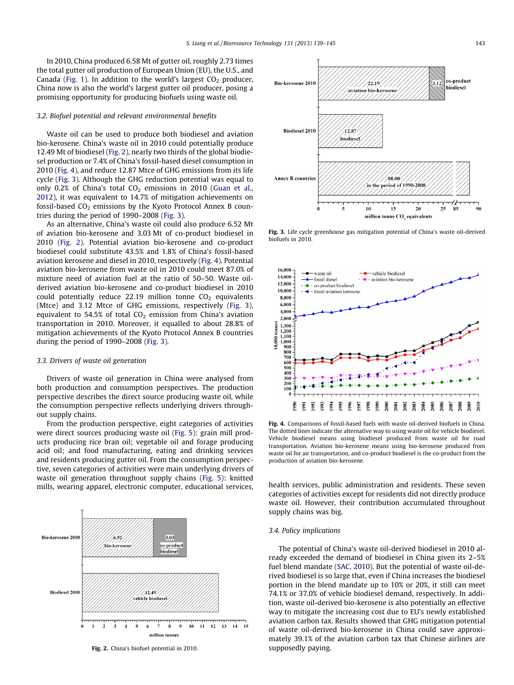In 2010, China produced 6.58 Mt of gutter oil, roughly 2.73 times the total gutter oil production of European Union (EU), the U.S., and Canada ([Fig. 1\)](#page-1-0). In addition to the world's largest  $CO<sub>2</sub>$  producer, China now is also the world's largest gutter oil producer, posing a promising opportunity for producing biofuels using waste oil.

## 3.2. Biofuel potential and relevant environmental benefits

Waste oil can be used to produce both biodiesel and aviation bio-kerosene. China's waste oil in 2010 could potentially produce 12.49 Mt of biodiesel (Fig. 2), nearly two thirds of the global biodiesel production or 7.4% of China's fossil-based diesel consumption in 2010 (Fig. 4), and reduce 12.87 Mtce of GHG emissions from its life cycle (Fig. 3). Although the GHG reduction potential was equal to only 0.2% of China's total  $CO<sub>2</sub>$  emissions in 2010 [\(Guan et al.,](#page-6-0) [2012\)](#page-6-0), it was equivalent to 14.7% of mitigation achievements on fossil-based  $CO<sub>2</sub>$  emissions by the Kyoto Protocol Annex B countries during the period of 1990–2008 (Fig. 3).

As an alternative, China's waste oil could also produce 6.52 Mt of aviation bio-kerosene and 3.03 Mt of co-product biodiesel in 2010 (Fig. 2). Potential aviation bio-kerosene and co-product biodiesel could substitute 43.5% and 1.8% of China's fossil-based aviation kerosene and diesel in 2010, respectively (Fig. 4). Potential aviation bio-kerosene from waste oil in 2010 could meet 87.0% of mixture need of aviation fuel at the ratio of 50–50. Waste oilderived aviation bio-kerosene and co-product biodiesel in 2010 could potentially reduce 22.19 million tonne  $CO<sub>2</sub>$  equivalents (Mtce) and 3.12 Mtce of GHG emissions, respectively (Fig. 3), equivalent to 54.5% of total  $CO<sub>2</sub>$  emission from China's aviation transportation in 2010. Moreover, it equalled to about 28.8% of mitigation achievements of the Kyoto Protocol Annex B countries during the period of 1990–2008 (Fig. 3).

## 3.3. Drivers of waste oil generation

Drivers of waste oil generation in China were analysed from both production and consumption perspectives. The production perspective describes the direct source producing waste oil, while the consumption perspective reflects underlying drivers throughout supply chains.

From the production perspective, eight categories of activities were direct sources producing waste oil ([Fig. 5](#page-5-0)): grain mill products producing rice bran oil; vegetable oil and forage producing acid oil; and food manufacturing, eating and drinking services and residents producing gutter oil. From the consumption perspective, seven categories of activities were main underlying drivers of waste oil generation throughout supply chains ([Fig. 5](#page-5-0)): knitted mills, wearing apparel, electronic computer, educational services, health services, public administration and residents. These seven



Fig. 2. China's biofuel potential in 2010. Supposedly paying.



Fig. 3. Life cycle greenhouse gas mitigation potential of China's waste oil-derived biofuels in 2010.



Fig. 4. Comparisons of fossil-based fuels with waste oil-derived biofuels in China. The dotted lines indicate the alternative way to using waste oil for vehicle biodiesel. Vehicle biodiesel means using biodiesel produced from waste oil for road transportation. Aviation bio-kerosene means using bio-kerosene produced from waste oil for air transportation, and co-product biodiesel is the co-product from the production of aviation bio-kerosene.

categories of activities except for residents did not directly produce waste oil. However, their contribution accumulated throughout supply chains was big.

## 3.4. Policy implications

The potential of China's waste oil-derived biodiesel in 2010 already exceeded the demand of biodiesel in China given its 2–5% fuel blend mandate ([SAC, 2010\)](#page-6-0). But the potential of waste oil-derived biodiesel is so large that, even if China increases the biodiesel portion in the blend mandate up to 10% or 20%, it still can meet 74.1% or 37.0% of vehicle biodiesel demand, respectively. In addition, waste oil-derived bio-kerosene is also potentially an effective way to mitigate the increasing cost due to EU's newly established aviation carbon tax. Results showed that GHG mitigation potential of waste oil-derived bio-kerosene in China could save approximately 39.1% of the aviation carbon tax that Chinese airlines are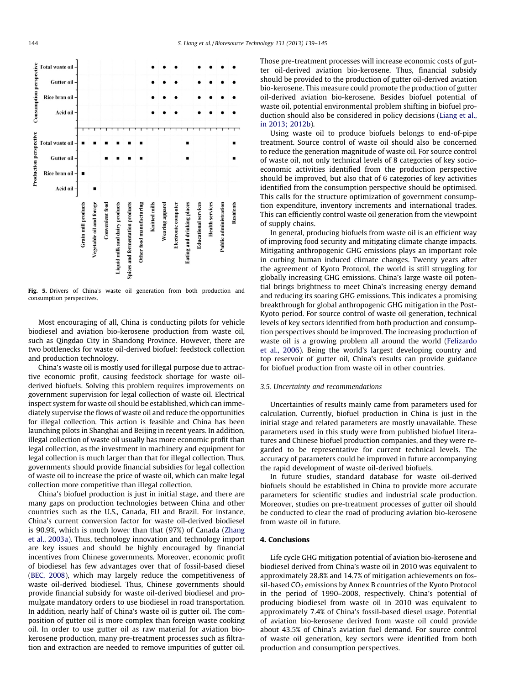<span id="page-5-0"></span>

Fig. 5. Drivers of China's waste oil generation from both production and consumption perspectives.

Most encouraging of all, China is conducting pilots for vehicle biodiesel and aviation bio-kerosene production from waste oil, such as Qingdao City in Shandong Province. However, there are two bottlenecks for waste oil-derived biofuel: feedstock collection and production technology.

China's waste oil is mostly used for illegal purpose due to attractive economic profit, causing feedstock shortage for waste oilderived biofuels. Solving this problem requires improvements on government supervision for legal collection of waste oil. Electrical inspect system for waste oil should be established, which can immediately supervise the flows of waste oil and reduce the opportunities for illegal collection. This action is feasible and China has been launching pilots in Shanghai and Beijing in recent years. In addition, illegal collection of waste oil usually has more economic profit than legal collection, as the investment in machinery and equipment for legal collection is much larger than that for illegal collection. Thus, governments should provide financial subsidies for legal collection of waste oil to increase the price of waste oil, which can make legal collection more competitive than illegal collection.

China's biofuel production is just in initial stage, and there are many gaps on production technologies between China and other countries such as the U.S., Canada, EU and Brazil. For instance, China's current conversion factor for waste oil-derived biodiesel is 90.9%, which is much lower than that (97%) of Canada ([Zhang](#page-6-0) [et al., 2003a](#page-6-0)). Thus, technology innovation and technology import are key issues and should be highly encouraged by financial incentives from Chinese governments. Moreover, economic profit of biodiesel has few advantages over that of fossil-based diesel ([BEC, 2008\)](#page-6-0), which may largely reduce the competitiveness of waste oil-derived biodiesel. Thus, Chinese governments should provide financial subsidy for waste oil-derived biodiesel and promulgate mandatory orders to use biodiesel in road transportation. In addition, nearly half of China's waste oil is gutter oil. The composition of gutter oil is more complex than foreign waste cooking oil. In order to use gutter oil as raw material for aviation biokerosene production, many pre-treatment processes such as filtration and extraction are needed to remove impurities of gutter oil. Those pre-treatment processes will increase economic costs of gutter oil-derived aviation bio-kerosene. Thus, financial subsidy should be provided to the production of gutter oil-derived aviation bio-kerosene. This measure could promote the production of gutter oil-derived aviation bio-kerosene. Besides biofuel potential of waste oil, potential environmental problem shifting in biofuel production should also be considered in policy decisions ([Liang et al.,](#page-6-0) [in 2013; 2012b\)](#page-6-0).

Using waste oil to produce biofuels belongs to end-of-pipe treatment. Source control of waste oil should also be concerned to reduce the generation magnitude of waste oil. For source control of waste oil, not only technical levels of 8 categories of key socioeconomic activities identified from the production perspective should be improved, but also that of 6 categories of key activities identified from the consumption perspective should be optimised. This calls for the structure optimization of government consumption expenditure, inventory increments and international trades. This can efficiently control waste oil generation from the viewpoint of supply chains.

In general, producing biofuels from waste oil is an efficient way of improving food security and mitigating climate change impacts. Mitigating anthropogenic GHG emissions plays an important role in curbing human induced climate changes. Twenty years after the agreement of Kyoto Protocol, the world is still struggling for globally increasing GHG emissions. China's large waste oil potential brings brightness to meet China's increasing energy demand and reducing its soaring GHG emissions. This indicates a promising breakthrough for global anthropogenic GHG mitigation in the Post-Kyoto period. For source control of waste oil generation, technical levels of key sectors identified from both production and consumption perspectives should be improved. The increasing production of waste oil is a growing problem all around the world [\(Felizardo](#page-6-0) [et al., 2006\)](#page-6-0). Being the world's largest developing country and top reservoir of gutter oil, China's results can provide guidance for biofuel production from waste oil in other countries.

### 3.5. Uncertainty and recommendations

Uncertainties of results mainly came from parameters used for calculation. Currently, biofuel production in China is just in the initial stage and related parameters are mostly unavailable. These parameters used in this study were from published biofuel literatures and Chinese biofuel production companies, and they were regarded to be representative for current technical levels. The accuracy of parameters could be improved in future accompanying the rapid development of waste oil-derived biofuels.

In future studies, standard database for waste oil-derived biofuels should be established in China to provide more accurate parameters for scientific studies and industrial scale production. Moreover, studies on pre-treatment processes of gutter oil should be conducted to clear the road of producing aviation bio-kerosene from waste oil in future.

# 4. Conclusions

Life cycle GHG mitigation potential of aviation bio-kerosene and biodiesel derived from China's waste oil in 2010 was equivalent to approximately 28.8% and 14.7% of mitigation achievements on fossil-based  $CO<sub>2</sub>$  emissions by Annex B countries of the Kyoto Protocol in the period of 1990–2008, respectively. China's potential of producing biodiesel from waste oil in 2010 was equivalent to approximately 7.4% of China's fossil-based diesel usage. Potential of aviation bio-kerosene derived from waste oil could provide about 43.5% of China's aviation fuel demand. For source control of waste oil generation, key sectors were identified from both production and consumption perspectives.